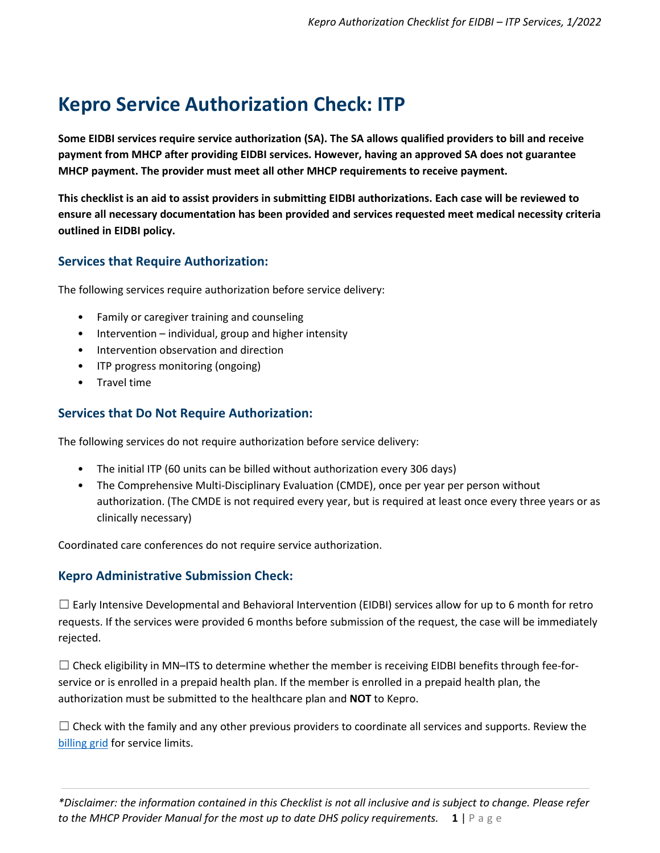# **Kepro Service Authorization Check: ITP**

**Some EIDBI services require service authorization (SA). The SA allows qualified providers to bill and receive payment from MHCP after providing EIDBI services. However, having an approved SA does not guarantee MHCP payment. The provider must meet all other MHCP requirements to receive payment.** 

**This checklist is an aid to assist providers in submitting EIDBI authorizations. Each case will be reviewed to ensure all necessary documentation has been provided and services requested meet medical necessity criteria outlined in EIDBI policy.** 

## **Services that Require Authorization:**

The following services require authorization before service delivery:

- Family or caregiver training and counseling
- Intervention individual, group and higher intensity
- Intervention observation and direction
- ITP progress monitoring (ongoing)
- Travel time

## **Services that Do Not Require Authorization:**

The following services do not require authorization before service delivery:

- The initial ITP (60 units can be billed without authorization every 306 days)
- The Comprehensive Multi-Disciplinary Evaluation (CMDE), once per year per person without authorization. (The CMDE is not required every year, but is required at least once every three years or as clinically necessary)

Coordinated care conferences do not require service authorization.

## **Kepro Administrative Submission Check:**

 $\Box$  Early Intensive Developmental and Behavioral Intervention (EIDBI) services allow for up to 6 month for retro requests. If the services were provided 6 months before submission of the request, the case will be immediately rejected.

 $\Box$  Check eligibility in MN–ITS to determine whether the member is receiving EIDBI benefits through fee-forservice or is enrolled in a prepaid health plan. If the member is enrolled in a prepaid health plan, the authorization must be submitted to the healthcare plan and **NOT** to Kepro.

 $\Box$  Check with the family and any other previous providers to coordinate all services and supports. Review the [billing grid](https://www.dhs.state.mn.us/main/idcplg?IdcService=GET_FILE&RevisionSelectionMethod=LatestReleased&Rendition=Primary&allowInterrupt=1&noSaveAs=1&dDocName=dhs16_195657) for service limits.

*\*Disclaimer: the information contained in this Checklist is not all inclusive and is subject to change. Please refer to the MHCP Provider Manual for the most up to date DHS policy requirements.* **1** | P a g e